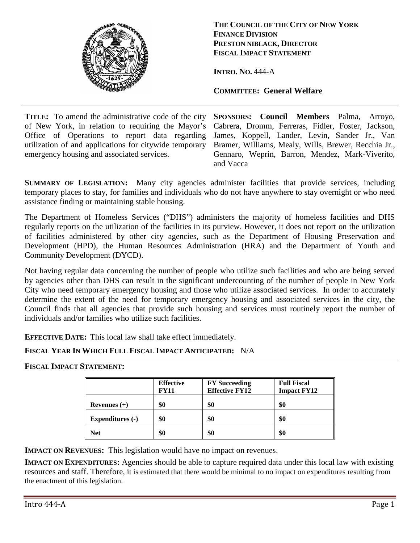

**THE COUNCIL OF THE CITY OF NEW YORK FINANCE DIVISION PRESTON NIBLACK, DIRECTOR FISCAL IMPACT STATEMENT**

**INTRO. NO.** 444-A

**COMMITTEE: General Welfare**

**TITLE:** To amend the administrative code of the city **SPONSORS:** of New York, in relation to requiring the Mayor's Office of Operations to report data regarding utilization of and applications for citywide temporary emergency housing and associated services.

**Council Members** Palma, Arroyo, Cabrera, Dromm, Ferreras, Fidler, Foster, Jackson, James, Koppell, Lander, Levin, Sander Jr., Van Bramer, Williams, Mealy, Wills, Brewer, Recchia Jr., Gennaro, Weprin, Barron, Mendez, Mark-Viverito, and Vacca

**SUMMARY OF LEGISLATION:** Many city agencies administer facilities that provide services, including temporary places to stay, for families and individuals who do not have anywhere to stay overnight or who need assistance finding or maintaining stable housing.

The Department of Homeless Services ("DHS") administers the majority of homeless facilities and DHS regularly reports on the utilization of the facilities in its purview. However, it does not report on the utilization of facilities administered by other city agencies, such as the Department of Housing Preservation and Development (HPD), the Human Resources Administration (HRA) and the Department of Youth and Community Development (DYCD).

Not having regular data concerning the number of people who utilize such facilities and who are being served by agencies other than DHS can result in the significant undercounting of the number of people in New York City who need temporary emergency housing and those who utilize associated services. In order to accurately determine the extent of the need for temporary emergency housing and associated services in the city, the Council finds that all agencies that provide such housing and services must routinely report the number of individuals and/or families who utilize such facilities.

**EFFECTIVE DATE:** This local law shall take effect immediately.

## **FISCAL YEAR IN WHICH FULL FISCAL IMPACT ANTICIPATED:** N/A

## **FISCAL IMPACT STATEMENT:**

|                         | <b>Effective</b><br><b>FY11</b> | <b>FY Succeeding</b><br><b>Effective FY12</b> | <b>Full Fiscal</b><br><b>Impact FY12</b> |
|-------------------------|---------------------------------|-----------------------------------------------|------------------------------------------|
| Revenues $(+)$          | \$0                             | \$0                                           | \$0                                      |
| <b>Expenditures (-)</b> | \$0                             | \$0                                           | \$0                                      |
| <b>Net</b>              | \$0                             | \$0                                           | \$0                                      |

**IMPACT ON REVENUES:** This legislation would have no impact on revenues.

**IMPACT ON EXPENDITURES:** Agencies should be able to capture required data under this local law with existing resources and staff. Therefore, it is estimated that there would be minimal to no impact on expenditures resulting from the enactment of this legislation.